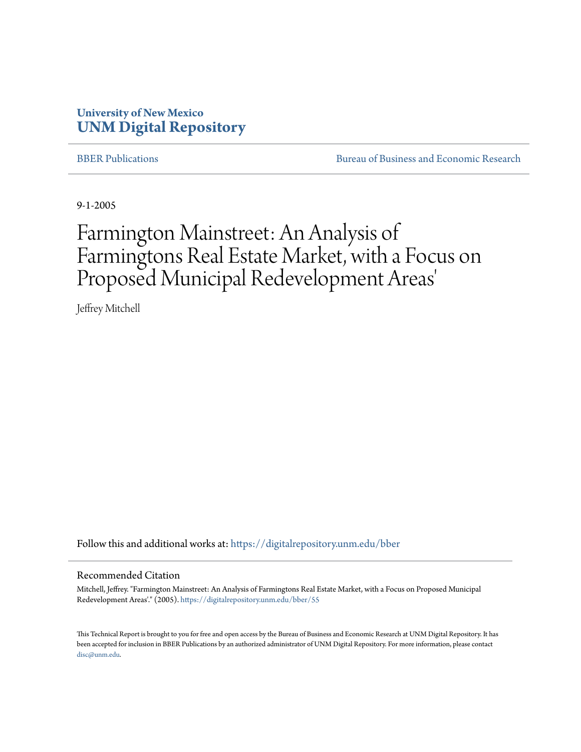### **University of New Mexico [UNM Digital Repository](https://digitalrepository.unm.edu?utm_source=digitalrepository.unm.edu%2Fbber%2F55&utm_medium=PDF&utm_campaign=PDFCoverPages)**

[BBER Publications](https://digitalrepository.unm.edu/bber?utm_source=digitalrepository.unm.edu%2Fbber%2F55&utm_medium=PDF&utm_campaign=PDFCoverPages) **BUREAU SERVICES** [Bureau of Business and Economic Research](https://digitalrepository.unm.edu/business_economic_research?utm_source=digitalrepository.unm.edu%2Fbber%2F55&utm_medium=PDF&utm_campaign=PDFCoverPages)

9-1-2005

# Farmington Mainstreet: An Analysis of Farmingtons Real Estate Market, with a Focus on Proposed Municipal Redevelopment Areas '

Jeffrey Mitchell

Follow this and additional works at: [https://digitalrepository.unm.edu/bber](https://digitalrepository.unm.edu/bber?utm_source=digitalrepository.unm.edu%2Fbber%2F55&utm_medium=PDF&utm_campaign=PDFCoverPages)

#### Recommended Citation

Mitchell, Jeffrey. "Farmington Mainstreet: An Analysis of Farmingtons Real Estate Market, with a Focus on Proposed Municipal Redevelopment Areas'." (2005). [https://digitalrepository.unm.edu/bber/55](https://digitalrepository.unm.edu/bber/55?utm_source=digitalrepository.unm.edu%2Fbber%2F55&utm_medium=PDF&utm_campaign=PDFCoverPages)

This Technical Report is brought to you for free and open access by the Bureau of Business and Economic Research at UNM Digital Repository. It has been accepted for inclusion in BBER Publications by an authorized administrator of UNM Digital Repository. For more information, please contact [disc@unm.edu](mailto:disc@unm.edu).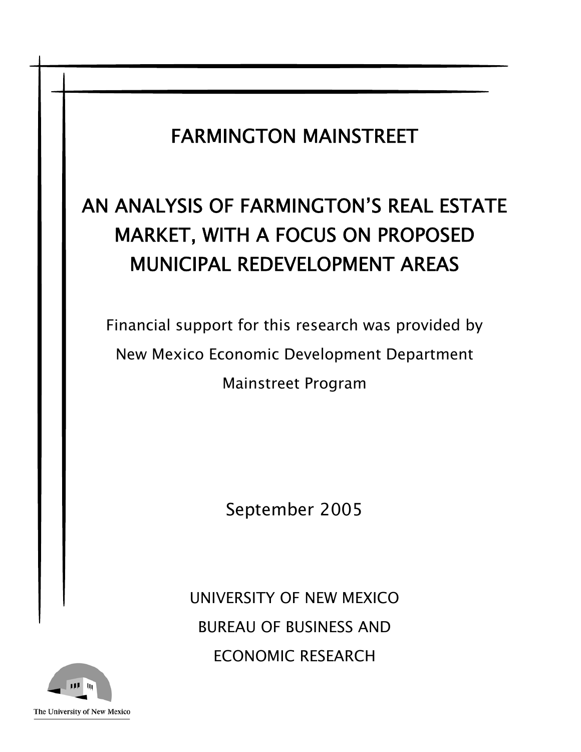## FARMINGTON MAINSTREET

# AN ANALYSIS OF FARMINGTON'S REAL ESTATE MARKET, WITH A FOCUS ON PROPOSED MUNICIPAL REDEVELOPMENT AREAS

Financial support for this research was provided by New Mexico Economic Development Department Mainstreet Program

September 2005

UNIVERSITY OF NEW MEXICO BUREAU OF BUSINESS AND ECONOMIC RESEARCH

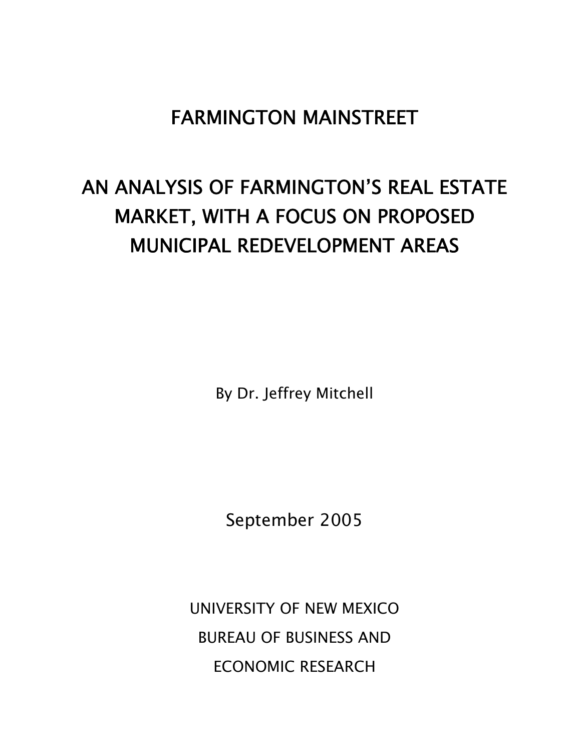### FARMINGTON MAINSTREET

# AN ANALYSIS OF FARMINGTON'S REAL ESTATE MARKET, WITH A FOCUS ON PROPOSED MUNICIPAL REDEVELOPMENT AREAS

By Dr. Jeffrey Mitchell

September 2005

UNIVERSITY OF NEW MEXICO BUREAU OF BUSINESS AND ECONOMIC RESEARCH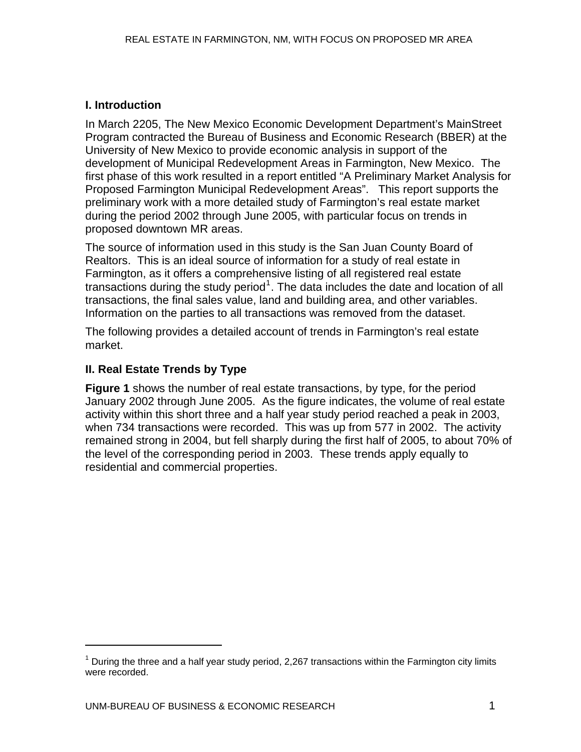#### **I. Introduction**

In March 2205, The New Mexico Economic Development Department's MainStreet Program contracted the Bureau of Business and Economic Research (BBER) at the University of New Mexico to provide economic analysis in support of the development of Municipal Redevelopment Areas in Farmington, New Mexico. The first phase of this work resulted in a report entitled "A Preliminary Market Analysis for Proposed Farmington Municipal Redevelopment Areas". This report supports the preliminary work with a more detailed study of Farmington's real estate market during the period 2002 through June 2005, with particular focus on trends in proposed downtown MR areas.

The source of information used in this study is the San Juan County Board of Realtors. This is an ideal source of information for a study of real estate in Farmington, as it offers a comprehensive listing of all registered real estate transactions during the study period<sup>[1](#page-3-0)</sup>. The data includes the date and location of all transactions, the final sales value, land and building area, and other variables. Information on the parties to all transactions was removed from the dataset.

The following provides a detailed account of trends in Farmington's real estate market.

#### **II. Real Estate Trends by Type**

 $\overline{a}$ 

**Figure 1** shows the number of real estate transactions, by type, for the period January 2002 through June 2005. As the figure indicates, the volume of real estate activity within this short three and a half year study period reached a peak in 2003, when 734 transactions were recorded. This was up from 577 in 2002. The activity remained strong in 2004, but fell sharply during the first half of 2005, to about 70% of the level of the corresponding period in 2003. These trends apply equally to residential and commercial properties.

<span id="page-3-0"></span> $1$  During the three and a half year study period, 2,267 transactions within the Farmington city limits were recorded.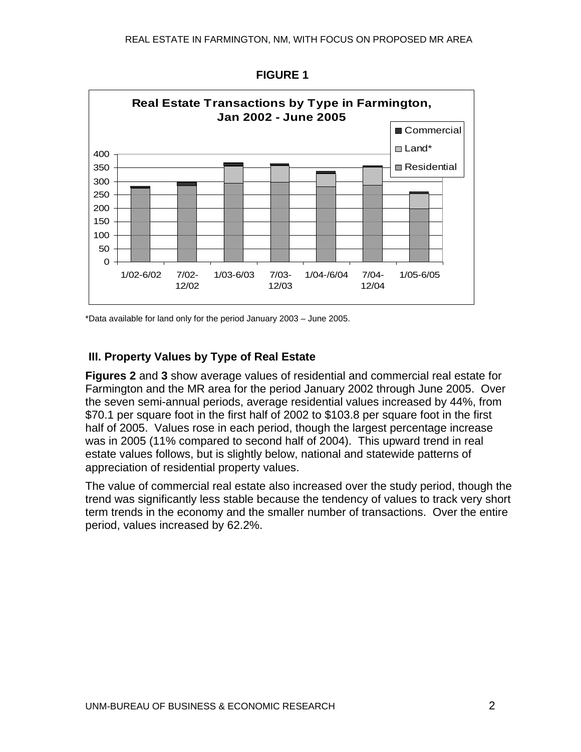

 **FIGURE 1** 

\*Data available for land only for the period January 2003 – June 2005.

#### **III. Property Values by Type of Real Estate**

**Figures 2** and **3** show average values of residential and commercial real estate for Farmington and the MR area for the period January 2002 through June 2005. Over the seven semi-annual periods, average residential values increased by 44%, from \$70.1 per square foot in the first half of 2002 to \$103.8 per square foot in the first half of 2005. Values rose in each period, though the largest percentage increase was in 2005 (11% compared to second half of 2004). This upward trend in real estate values follows, but is slightly below, national and statewide patterns of appreciation of residential property values.

The value of commercial real estate also increased over the study period, though the trend was significantly less stable because the tendency of values to track very short term trends in the economy and the smaller number of transactions. Over the entire period, values increased by 62.2%.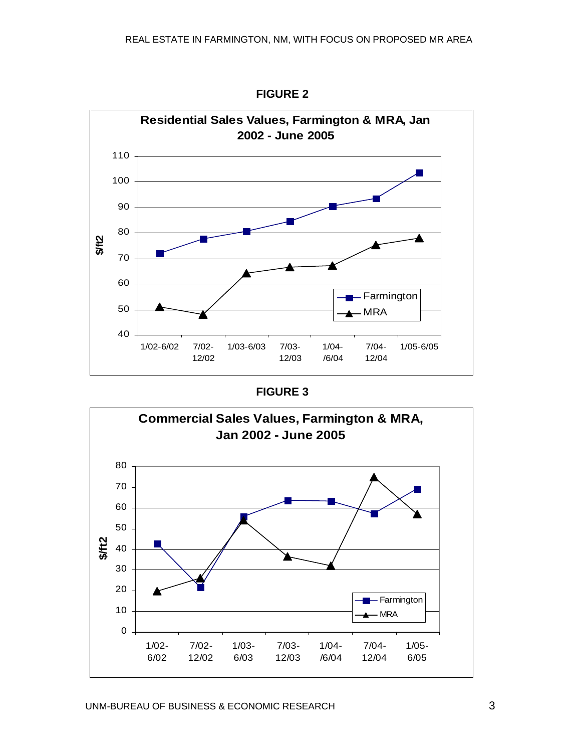

**FIGURE 2** 

| <b>FIGURE 3</b> |  |
|-----------------|--|
|-----------------|--|

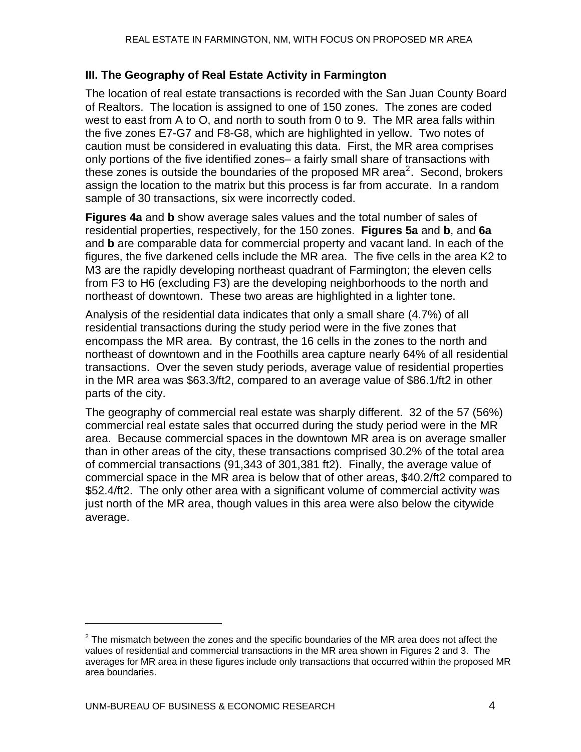#### **III. The Geography of Real Estate Activity in Farmington**

The location of real estate transactions is recorded with the San Juan County Board of Realtors. The location is assigned to one of 150 zones. The zones are coded west to east from A to O, and north to south from 0 to 9. The MR area falls within the five zones E7-G7 and F8-G8, which are highlighted in yellow. Two notes of caution must be considered in evaluating this data. First, the MR area comprises only portions of the five identified zones– a fairly small share of transactions with these zones is outside the boundaries of the proposed MR area<sup>[2](#page-6-0)</sup>. Second, brokers assign the location to the matrix but this process is far from accurate. In a random sample of 30 transactions, six were incorrectly coded.

**Figures 4a** and **b** show average sales values and the total number of sales of residential properties, respectively, for the 150 zones. **Figures 5a** and **b**, and **6a**  and **b** are comparable data for commercial property and vacant land. In each of the figures, the five darkened cells include the MR area. The five cells in the area K2 to M3 are the rapidly developing northeast quadrant of Farmington; the eleven cells from F3 to H6 (excluding F3) are the developing neighborhoods to the north and northeast of downtown. These two areas are highlighted in a lighter tone.

Analysis of the residential data indicates that only a small share (4.7%) of all residential transactions during the study period were in the five zones that encompass the MR area. By contrast, the 16 cells in the zones to the north and northeast of downtown and in the Foothills area capture nearly 64% of all residential transactions. Over the seven study periods, average value of residential properties in the MR area was \$63.3/ft2, compared to an average value of \$86.1/ft2 in other parts of the city.

The geography of commercial real estate was sharply different. 32 of the 57 (56%) commercial real estate sales that occurred during the study period were in the MR area. Because commercial spaces in the downtown MR area is on average smaller than in other areas of the city, these transactions comprised 30.2% of the total area of commercial transactions (91,343 of 301,381 ft2). Finally, the average value of commercial space in the MR area is below that of other areas, \$40.2/ft2 compared to \$52.4/ft2. The only other area with a significant volume of commercial activity was just north of the MR area, though values in this area were also below the citywide average.

 $\overline{a}$ 

<span id="page-6-0"></span> $2$  The mismatch between the zones and the specific boundaries of the MR area does not affect the values of residential and commercial transactions in the MR area shown in Figures 2 and 3. The averages for MR area in these figures include only transactions that occurred within the proposed MR area boundaries.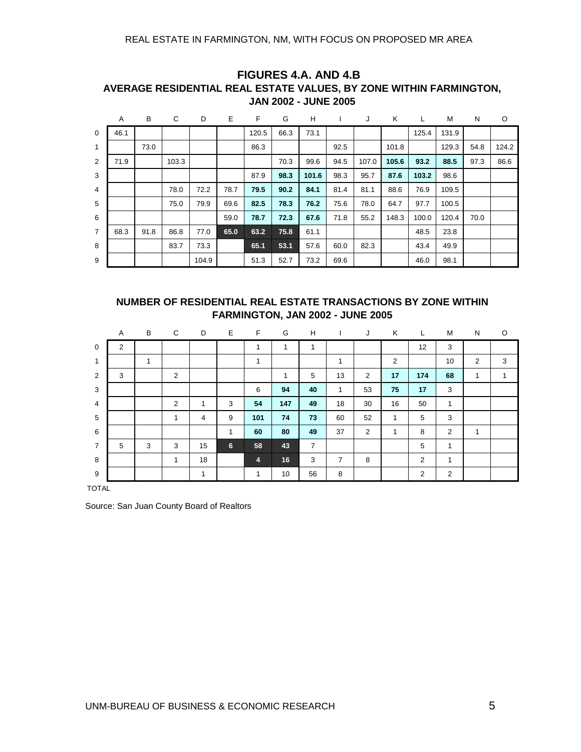#### REAL ESTATE IN FARMINGTON, NM, WITH FOCUS ON PROPOSED MR AREA

|                | A    | В    | С     | D     | E    | F     | G    | H     |      | J     | Κ     | ┗     | M     | N    | O     |
|----------------|------|------|-------|-------|------|-------|------|-------|------|-------|-------|-------|-------|------|-------|
| $\mathbf 0$    | 46.1 |      |       |       |      | 120.5 | 66.3 | 73.1  |      |       |       | 125.4 | 131.9 |      |       |
| $\mathbf{1}$   |      | 73.0 |       |       |      | 86.3  |      |       | 92.5 |       | 101.8 |       | 129.3 | 54.8 | 124.2 |
| 2              | 71.9 |      | 103.3 |       |      |       | 70.3 | 99.6  | 94.5 | 107.0 | 105.6 | 93.2  | 88.5  | 97.3 | 86.6  |
| 3              |      |      |       |       |      | 87.9  | 98.3 | 101.6 | 98.3 | 95.7  | 87.6  | 103.2 | 98.6  |      |       |
| $\overline{4}$ |      |      | 78.0  | 72.2  | 78.7 | 79.5  | 90.2 | 84.1  | 81.4 | 81.1  | 88.6  | 76.9  | 109.5 |      |       |
| 5              |      |      | 75.0  | 79.9  | 69.6 | 82.5  | 78.3 | 76.2  | 75.6 | 78.0  | 64.7  | 97.7  | 100.5 |      |       |
| 6              |      |      |       |       | 59.0 | 78.7  | 72.3 | 67.6  | 71.8 | 55.2  | 148.3 | 100.0 | 120.4 | 70.0 |       |
| $\overline{7}$ | 68.3 | 91.8 | 86.8  | 77.0  | 65.0 | 63.2  | 75.8 | 61.1  |      |       |       | 48.5  | 23.8  |      |       |
| 8              |      |      | 83.7  | 73.3  |      | 65.1  | 53.1 | 57.6  | 60.0 | 82.3  |       | 43.4  | 49.9  |      |       |
| 9              |      |      |       | 104.9 |      | 51.3  | 52.7 | 73.2  | 69.6 |       |       | 46.0  | 98.1  |      |       |

#### **FIGURES 4.A. AND 4.B AVERAGE RESIDENTIAL REAL ESTATE VALUES, BY ZONE WITHIN FARMINGTON, JAN 2002 - JUNE 2005**

#### **NUMBER OF RESIDENTIAL REAL ESTATE TRANSACTIONS BY ZONE WITHIN FARMINGTON, JAN 2002 - JUNE 2005**

|                | Α              | B | C              | D            | Е              | F              | G   | Н              |                | J              | Κ              | L   | М  | N              | O              |
|----------------|----------------|---|----------------|--------------|----------------|----------------|-----|----------------|----------------|----------------|----------------|-----|----|----------------|----------------|
| $\mathbf 0$    | $\overline{2}$ |   |                |              |                |                | 1   | 1              |                |                |                | 12  | 3  |                |                |
| $\mathbf{1}$   |                | 1 |                |              |                | и              |     |                | $\overline{ }$ |                | $\overline{2}$ |     | 10 | $\overline{c}$ | 3              |
| 2              | 3              |   | 2              |              |                |                | 1   | 5              | 13             | 2              | 17             | 174 | 68 | 1              | $\overline{ }$ |
| 3              |                |   |                |              |                | 6              | 94  | 40             | $\mathbf{1}$   | 53             | 75             | 17  | 3  |                |                |
| 4              |                |   | $\overline{2}$ | $\mathbf{1}$ | 3              | 54             | 147 | 49             | 18             | 30             | 16             | 50  | 1  |                |                |
| 5              |                |   | $\overline{ }$ | 4            | 9              | 101            | 74  | 73             | 60             | 52             | $\mathbf{1}$   | 5   | 3  |                |                |
| 6              |                |   |                |              | 1              | 60             | 80  | 49             | 37             | $\overline{2}$ | 1              | 8   | 2  | 1              |                |
| $\overline{7}$ | 5              | 3 | 3              | 15           | $6\phantom{.}$ | 58             | 43  | $\overline{7}$ |                |                |                | 5   | 1  |                |                |
| 8              |                |   | $\overline{ }$ | 18           |                | $\overline{4}$ | 16  | 3              | 7              | 8              |                | 2   | 1  |                |                |
| 9              |                |   |                | 1            |                | $\mathbf{1}$   | 10  | 56             | 8              |                |                | 2   | 2  |                |                |

TOTAL

Source: San Juan County Board of Realtors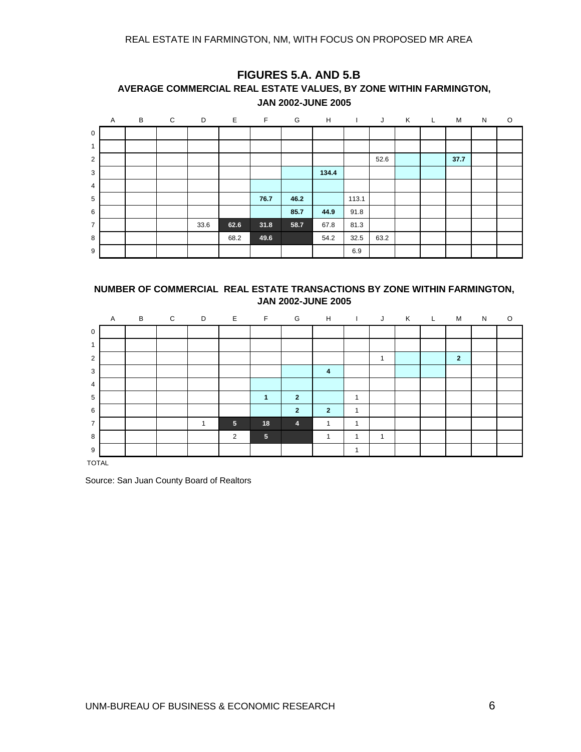|                | Α | B | $\mathsf{C}$ | D    | $\mathbb{R}^n \times \mathbb{R}^n$ . | $\mathbb{R}^n$ . For | G    | H     | <b>Contract Contract</b> | J    | K | $\mathbb{Z}^n$ . Let | M    | N | $\circ$ |
|----------------|---|---|--------------|------|--------------------------------------|----------------------|------|-------|--------------------------|------|---|----------------------|------|---|---------|
| $\mathsf 0$    |   |   |              |      |                                      |                      |      |       |                          |      |   |                      |      |   |         |
| 1              |   |   |              |      |                                      |                      |      |       |                          |      |   |                      |      |   |         |
| $\overline{2}$ |   |   |              |      |                                      |                      |      |       |                          | 52.6 |   |                      | 37.7 |   |         |
| 3              |   |   |              |      |                                      |                      |      | 134.4 |                          |      |   |                      |      |   |         |
| 4              |   |   |              |      |                                      |                      |      |       |                          |      |   |                      |      |   |         |
| 5              |   |   |              |      |                                      | 76.7                 | 46.2 |       | 113.1                    |      |   |                      |      |   |         |
| 6              |   |   |              |      |                                      |                      | 85.7 | 44.9  | 91.8                     |      |   |                      |      |   |         |
| $\overline{7}$ |   |   |              | 33.6 | 62.6                                 | 31.8                 | 58.7 | 67.8  | 81.3                     |      |   |                      |      |   |         |
| 8              |   |   |              |      | 68.2                                 | 49.6                 |      | 54.2  | 32.5                     | 63.2 |   |                      |      |   |         |
| 9              |   |   |              |      |                                      |                      |      |       | 6.9                      |      |   |                      |      |   |         |

#### **FIGURES 5.A. AND 5.B AVERAGE COMMERCIAL REAL ESTATE VALUES, BY ZONE WITHIN FARMINGTON, JAN 2002-JUNE 2005**

#### **NUMBER OF COMMERCIAL REAL ESTATE TRANSACTIONS BY ZONE WITHIN FARMINGTON, JAN 2002-JUNE 2005**

|                | Α | B | C | D | Е              | F               | G              | H              |              | J              | K | L. | М              | N |  |
|----------------|---|---|---|---|----------------|-----------------|----------------|----------------|--------------|----------------|---|----|----------------|---|--|
| $\mathbf 0$    |   |   |   |   |                |                 |                |                |              |                |   |    |                |   |  |
| 1              |   |   |   |   |                |                 |                |                |              |                |   |    |                |   |  |
| $\overline{2}$ |   |   |   |   |                |                 |                |                |              |                |   |    | $\overline{2}$ |   |  |
| 3              |   |   |   |   |                |                 |                | 4              |              |                |   |    |                |   |  |
| $\overline{4}$ |   |   |   |   |                |                 |                |                |              |                |   |    |                |   |  |
| 5              |   |   |   |   |                |                 | $\overline{2}$ |                | 1            |                |   |    |                |   |  |
| 6              |   |   |   |   |                |                 | $\overline{2}$ | $\overline{2}$ | $\mathbf{1}$ |                |   |    |                |   |  |
| $\overline{7}$ |   |   |   | 4 | 5 <sub>5</sub> | 18              | $\overline{4}$ | 1              | $\mathbf{1}$ |                |   |    |                |   |  |
| 8              |   |   |   |   | 2              | $5\phantom{.0}$ |                | -4             | 1            | $\overline{ }$ |   |    |                |   |  |
| 9              |   |   |   |   |                |                 |                |                | 1            |                |   |    |                |   |  |

TOTAL

Source: San Juan County Board of Realtors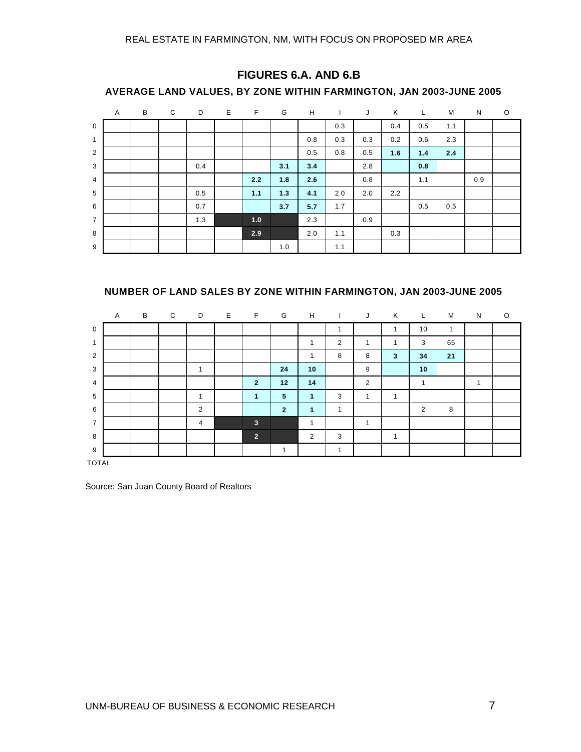|                | AVERAGE LAND VALUES, BY ZONE WITHIN FARMINGTON, JAN 2003-JUNE 2005 |   |   |     |    |     |     |     |     |     |     |     |     |     |   |
|----------------|--------------------------------------------------------------------|---|---|-----|----|-----|-----|-----|-----|-----|-----|-----|-----|-----|---|
|                | $\overline{A}$                                                     | B | C | D   | E. | F   | G   | H   | Ι.  | J   | K   | L.  | M   | N   | O |
| $\mathbf 0$    |                                                                    |   |   |     |    |     |     |     | 0.3 |     | 0.4 | 0.5 | 1.1 |     |   |
| 1              |                                                                    |   |   |     |    |     |     | 0.8 | 0.3 | 0.3 | 0.2 | 0.6 | 2.3 |     |   |
| $\overline{2}$ |                                                                    |   |   |     |    |     |     | 0.5 | 0.8 | 0.5 | 1.6 | 1.4 | 2.4 |     |   |
| 3              |                                                                    |   |   | 0.4 |    |     | 3.1 | 3.4 |     | 2.8 |     | 0.8 |     |     |   |
| $\overline{4}$ |                                                                    |   |   |     |    | 2.2 | 1.8 | 2.6 |     | 0.8 |     | 1.1 |     | 0.9 |   |
| 5              |                                                                    |   |   | 0.5 |    | 1.1 | 1.3 | 4.1 | 2.0 | 2.0 | 2.2 |     |     |     |   |
| 6              |                                                                    |   |   | 0.7 |    |     | 3.7 | 5.7 | 1.7 |     |     | 0.5 | 0.5 |     |   |
| $\overline{7}$ |                                                                    |   |   | 1.3 |    | 1.0 |     | 2.3 |     | 0.9 |     |     |     |     |   |
| 8              |                                                                    |   |   |     |    | 2.9 |     | 2.0 | 1.1 |     | 0.3 |     |     |     |   |
| 9              |                                                                    |   |   |     |    |     | 1.0 |     | 1.1 |     |     |     |     |     |   |

#### **FIGURES 6.A. AND 6.B**

#### **NUMBER OF LAND SALES BY ZONE WITHIN FARMINGTON, JAN 2003-JUNE 2005**

|                | $\mathsf{A}$ | B | C | D | Е | F                    | G              | H                       | T              | J              | Κ                       | L            | М  | N                        | O |
|----------------|--------------|---|---|---|---|----------------------|----------------|-------------------------|----------------|----------------|-------------------------|--------------|----|--------------------------|---|
| $\mathbf 0$    |              |   |   |   |   |                      |                |                         |                |                |                         | 10           | 1  |                          |   |
| $\mathbf{1}$   |              |   |   |   |   |                      |                | $\overline{\mathbf{A}}$ | 2              | 1              | $\overline{\mathbf{A}}$ | 3            | 65 |                          |   |
| 2              |              |   |   |   |   |                      |                | 1                       | 8              | 8              | 3                       | 34           | 21 |                          |   |
| 3              |              |   |   |   |   |                      | 24             | 10                      |                | 9              |                         | 10           |    |                          |   |
| 4              |              |   |   |   |   | $\overline{2}$       | 12             | 14                      |                | $\overline{2}$ |                         | $\mathbf{1}$ |    | $\overline{\phantom{a}}$ |   |
| 5              |              |   |   |   |   | $\blacktriangleleft$ | $\sqrt{5}$     | $\mathbf{1}$            | 3              | 1              | 1                       |              |    |                          |   |
| 6              |              |   |   | 2 |   |                      | $\overline{2}$ | $\mathbf{1}$            | $\mathbf{1}$   |                |                         | 2            | 8  |                          |   |
| $\overline{7}$ |              |   |   | 4 |   | $\mathbf{3}$         |                | 1                       |                | 1              |                         |              |    |                          |   |
| 8              |              |   |   |   |   | $\overline{2}$       |                | 2                       | 3              |                | $\overline{\mathbf{A}}$ |              |    |                          |   |
| 9              |              |   |   |   |   |                      | 1              |                         | $\overline{ }$ |                |                         |              |    |                          |   |

TOTAL

Source: San Juan County Board of Realtors